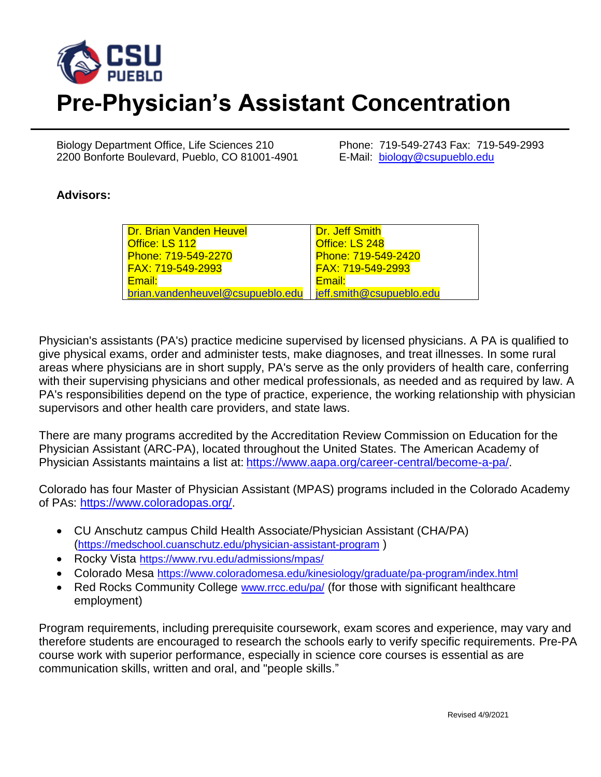

Biology Department Office, Life Sciences 210 Phone: 719-549-2743 Fax: 719-549-2993 2200 Bonforte Boulevard, Pueblo, CO 81001-4901 E-Mail: [biology@csupueblo.edu](mailto:biology@csupueblo.edu)

## **Advisors:**

| <b>Dr. Brian Vanden Heuvel</b>   | Dr. Jeff Smith           |
|----------------------------------|--------------------------|
| Office: LS 112                   | Office: LS 248           |
| Phone: 719-549-2270              | Phone: 719-549-2420      |
| FAX: 719-549-2993                | FAX: 719-549-2993        |
| Email:                           | Email:                   |
| brian.vandenheuvel@csupueblo.edu | jeff.smith@csupueblo.edu |

Physician's assistants (PA's) practice medicine supervised by licensed physicians. A PA is qualified to give physical exams, order and administer tests, make diagnoses, and treat illnesses. In some rural areas where physicians are in short supply, PA's serve as the only providers of health care, conferring with their supervising physicians and other medical professionals, as needed and as required by law. A PA's responsibilities depend on the type of practice, experience, the working relationship with physician supervisors and other health care providers, and state laws.

There are many programs accredited by the Accreditation Review Commission on Education for the Physician Assistant (ARC-PA), located throughout the United States. The American Academy of Physician Assistants maintains a list at: [https://www.aapa.org/career-central/become-a-pa/.](https://www.aapa.org/career-central/become-a-pa/)

Colorado has four Master of Physician Assistant (MPAS) programs included in the Colorado Academy of PAs: [https://www.coloradopas.org/.](https://www.coloradopas.org/)

- CU Anschutz campus Child Health Associate/Physician Assistant (CHA/PA) (<https://medschool.cuanschutz.edu/physician-assistant-program> )
- Rocky Vista <https://www.rvu.edu/admissions/mpas/>
- Colorado Mesa <https://www.coloradomesa.edu/kinesiology/graduate/pa-program/index.html>
- Red Rocks Community College [www.rrcc.edu/pa/](http://www.rrcc.edu/pa/) (for those with significant healthcare employment)

Program requirements, including prerequisite coursework, exam scores and experience, may vary and therefore students are encouraged to research the schools early to verify specific requirements. Pre-PA course work with superior performance, especially in science core courses is essential as are communication skills, written and oral, and "people skills."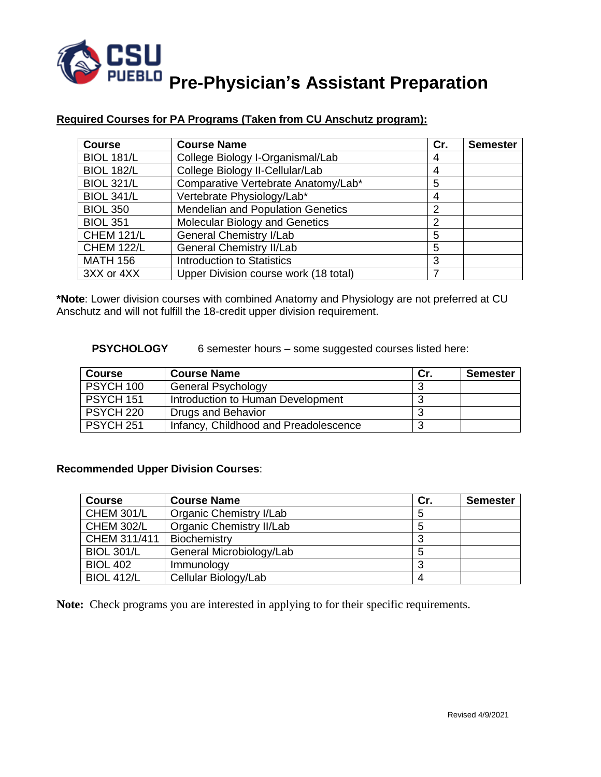

**Pre-Physician's Assistant Preparation**

| <b>Course</b>     | <b>Course Name</b>                       | Cr. | <b>Semester</b> |
|-------------------|------------------------------------------|-----|-----------------|
| <b>BIOL 181/L</b> | College Biology I-Organismal/Lab         | 4   |                 |
| <b>BIOL 182/L</b> | College Biology II-Cellular/Lab          | 4   |                 |
| <b>BIOL 321/L</b> | Comparative Vertebrate Anatomy/Lab*      | 5   |                 |
| <b>BIOL 341/L</b> | Vertebrate Physiology/Lab*               | 4   |                 |
| <b>BIOL 350</b>   | <b>Mendelian and Population Genetics</b> | 2   |                 |
| <b>BIOL 351</b>   | Molecular Biology and Genetics           | 2   |                 |
| <b>CHEM 121/L</b> | <b>General Chemistry I/Lab</b>           | 5   |                 |
| <b>CHEM 122/L</b> | <b>General Chemistry II/Lab</b>          | 5   |                 |
| <b>MATH 156</b>   | <b>Introduction to Statistics</b>        | 3   |                 |
| 3XX or 4XX        | Upper Division course work (18 total)    |     |                 |

## **Required Courses for PA Programs (Taken from CU Anschutz program):**

**\*Note**: Lower division courses with combined Anatomy and Physiology are not preferred at CU Anschutz and will not fulfill the 18-credit upper division requirement.

**PSYCHOLOGY** 6 semester hours – some suggested courses listed here:

| <b>Course</b>        | <b>Course Name</b>                    | Cr. | <b>Semester</b> |
|----------------------|---------------------------------------|-----|-----------------|
| <b>PSYCH 100</b>     | <b>General Psychology</b>             |     |                 |
| <b>PSYCH 151</b>     | Introduction to Human Development     |     |                 |
| PSYCH <sub>220</sub> | Drugs and Behavior                    |     |                 |
| PSYCH 251            | Infancy, Childhood and Preadolescence |     |                 |

## **Recommended Upper Division Courses**:

| <b>Course</b>     | <b>Course Name</b>              | Cr. | <b>Semester</b> |
|-------------------|---------------------------------|-----|-----------------|
| <b>CHEM 301/L</b> | <b>Organic Chemistry I/Lab</b>  | 5   |                 |
| <b>CHEM 302/L</b> | <b>Organic Chemistry II/Lab</b> | 5   |                 |
| CHEM 311/411      | Biochemistry                    | ≏   |                 |
| <b>BIOL 301/L</b> | General Microbiology/Lab        | 5   |                 |
| <b>BIOL 402</b>   | Immunology                      |     |                 |
| <b>BIOL 412/L</b> | Cellular Biology/Lab            | 4   |                 |

**Note:** Check programs you are interested in applying to for their specific requirements.